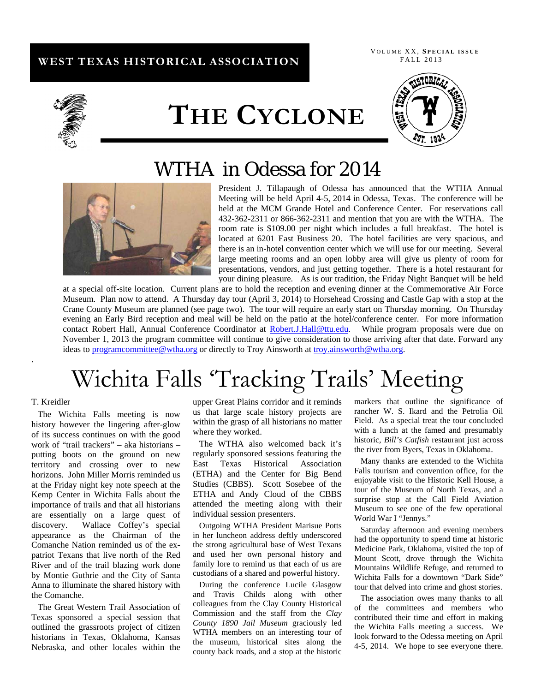## **WEST TEXAS HISTORICAL ASSOCIATION**

 V OLUME XX, **S PECIAL ISSUE** FALL 2013



# **THE CYCLONE**



## WTHA in Odessa for 2014



 President J. Tillapaugh of Odessa has announced that the WTHA Annual Meeting will be held April 4-5, 2014 in Odessa, Texas. The conference will be held at the MCM Grande Hotel and Conference Center. For reservations call 432-362-2311 or 866-362-2311 and mention that you are with the WTHA. The room rate is \$109.00 per night which includes a full breakfast. The hotel is located at 6201 East Business 20. The hotel facilities are very spacious, and there is an in-hotel convention center which we will use for our meeting. Several large meeting rooms and an open lobby area will give us plenty of room for presentations, vendors, and just getting together. There is a hotel restaurant for your dining pleasure. As is our tradition, the Friday Night Banquet will be held

at a special off-site location. Current plans are to hold the reception and evening dinner at the Commemorative Air Force Museum. Plan now to attend. A Thursday day tour (April 3, 2014) to Horsehead Crossing and Castle Gap with a stop at the Crane County Museum are planned (see page two). The tour will require an early start on Thursday morning. On Thursday evening an Early Bird reception and meal will be held on the patio at the hotel/conference center. For more information contact Robert Hall, Annual Conference Coordinator at Robert.J.Hall@ttu.edu. While program proposals were due on November 1, 2013 the program committee will continue to give consideration to those arriving after that date. Forward any ideas to programcommittee@wtha.org or directly to Troy Ainsworth at troy.ainsworth@wtha.org.

## Wichita Falls 'Tracking Trails' Meeting

#### T. Kreidler

.

The Wichita Falls meeting is now history however the lingering after-glow of its success continues on with the good work of "trail trackers" – aka historians – putting boots on the ground on new territory and crossing over to new horizons. John Miller Morris reminded us at the Friday night key note speech at the Kemp Center in Wichita Falls about the importance of trails and that all historians are essentially on a large quest of discovery. Wallace Coffey's special appearance as the Chairman of the Comanche Nation reminded us of the expatriot Texans that live north of the Red River and of the trail blazing work done by Montie Guthrie and the City of Santa Anna to illuminate the shared history with the Comanche.

The Great Western Trail Association of Texas sponsored a special session that outlined the grassroots project of citizen historians in Texas, Oklahoma, Kansas Nebraska, and other locales within the

upper Great Plains corridor and it reminds us that large scale history projects are within the grasp of all historians no matter where they worked.

The WTHA also welcomed back it's regularly sponsored sessions featuring the East Texas Historical Association (ETHA) and the Center for Big Bend Studies (CBBS). Scott Sosebee of the ETHA and Andy Cloud of the CBBS attended the meeting along with their individual session presenters.

Outgoing WTHA President Marisue Potts in her luncheon address deftly underscored the strong agricultural base of West Texans and used her own personal history and family lore to remind us that each of us are custodians of a shared and powerful history.

During the conference Lucile Glasgow and Travis Childs along with other colleagues from the Clay County Historical Commission and the staff from the *Clay County 1890 Jail Museum* graciously led WTHA members on an interesting tour of the museum, historical sites along the county back roads, and a stop at the historic

markers that outline the significance of rancher W. S. Ikard and the Petrolia Oil Field. As a special treat the tour concluded with a lunch at the famed and presumably historic, *Bill's Catfish* restaurant just across the river from Byers, Texas in Oklahoma.

Many thanks are extended to the Wichita Falls tourism and convention office, for the enjoyable visit to the Historic Kell House, a tour of the Museum of North Texas, and a surprise stop at the Call Field Aviation Museum to see one of the few operational World War I "Jennys."

Saturday afternoon and evening members had the opportunity to spend time at historic Medicine Park, Oklahoma, visited the top of Mount Scott, drove through the Wichita Mountains Wildlife Refuge, and returned to Wichita Falls for a downtown "Dark Side" tour that delved into crime and ghost stories.

The association owes many thanks to all of the committees and members who contributed their time and effort in making the Wichita Falls meeting a success. We look forward to the Odessa meeting on April 4-5, 2014. We hope to see everyone there.